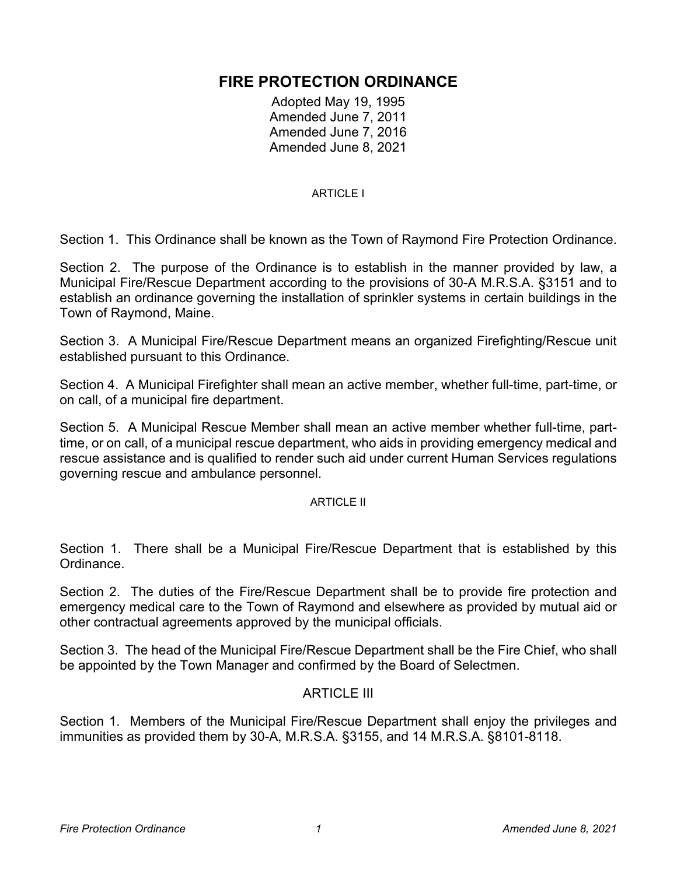# **FIRE PROTECTION ORDINANCE**

Adopted May 19, 1995 Amended June 7, 2011 Amended June 7, 2016 Amended June 8, 2021

#### ARTICLE I

Section 1. This Ordinance shall be known as the Town of Raymond Fire Protection Ordinance.

Section 2. The purpose of the Ordinance is to establish in the manner provided by law, a Municipal Fire/Rescue Department according to the provisions of 30-A M.R.S.A. §3151 and to establish an ordinance governing the installation of sprinkler systems in certain buildings in the Town of Raymond, Maine.

Section 3. A Municipal Fire/Rescue Department means an organized Firefighting/Rescue unit established pursuant to this Ordinance.

Section 4. A Municipal Firefighter shall mean an active member, whether full-time, part-time, or on call, of a municipal fire department.

Section 5. A Municipal Rescue Member shall mean an active member whether full-time, parttime, or on call, of a municipal rescue department, who aids in providing emergency medical and rescue assistance and is qualified to render such aid under current Human Services regulations governing rescue and ambulance personnel.

#### ARTICLE II

Section 1. There shall be a Municipal Fire/Rescue Department that is established by this Ordinance.

Section 2. The duties of the Fire/Rescue Department shall be to provide fire protection and emergency medical care to the Town of Raymond and elsewhere as provided by mutual aid or other contractual agreements approved by the municipal officials.

Section 3. The head of the Municipal Fire/Rescue Department shall be the Fire Chief, who shall be appointed by the Town Manager and confirmed by the Board of Selectmen.

#### ARTICLE III

Section 1. Members of the Municipal Fire/Rescue Department shall enjoy the privileges and immunities as provided them by 30-A, M.R.S.A. §3155, and 14 M.R.S.A. §8101-8118.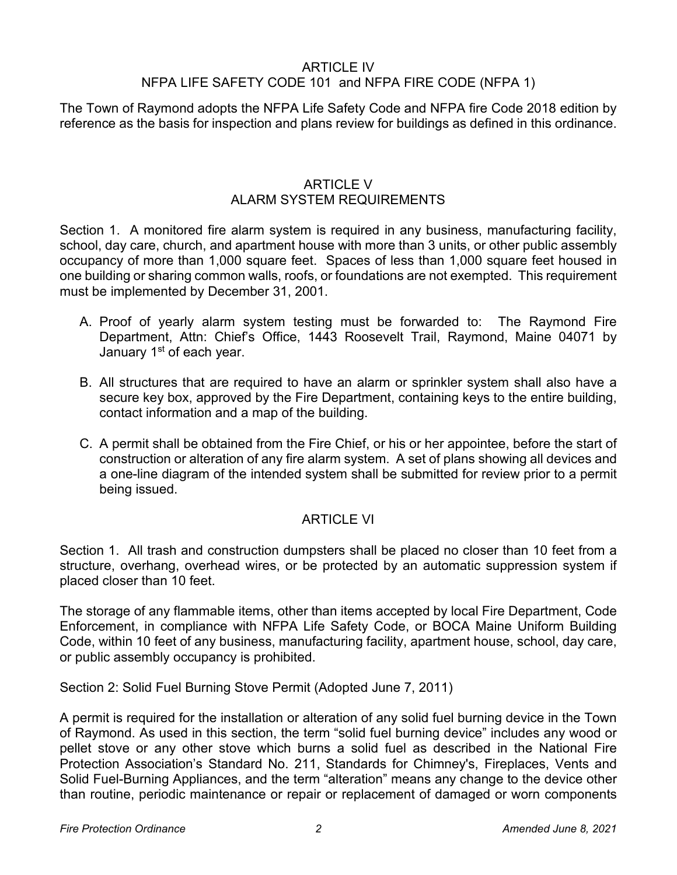## ARTICLE IV

## NFPA LIFE SAFETY CODE 101 and NFPA FIRE CODE (NFPA 1)

The Town of Raymond adopts the NFPA Life Safety Code and NFPA fire Code 2018 edition by reference as the basis for inspection and plans review for buildings as defined in this ordinance.

#### ARTICLE V ALARM SYSTEM REQUIREMENTS

Section 1. A monitored fire alarm system is required in any business, manufacturing facility, school, day care, church, and apartment house with more than 3 units, or other public assembly occupancy of more than 1,000 square feet. Spaces of less than 1,000 square feet housed in one building or sharing common walls, roofs, or foundations are not exempted. This requirement must be implemented by December 31, 2001.

- A. Proof of yearly alarm system testing must be forwarded to: The Raymond Fire Department, Attn: Chief's Office, 1443 Roosevelt Trail, Raymond, Maine 04071 by January 1<sup>st</sup> of each year.
- B. All structures that are required to have an alarm or sprinkler system shall also have a secure key box, approved by the Fire Department, containing keys to the entire building, contact information and a map of the building.
- C. A permit shall be obtained from the Fire Chief, or his or her appointee, before the start of construction or alteration of any fire alarm system. A set of plans showing all devices and a one-line diagram of the intended system shall be submitted for review prior to a permit being issued.

## ARTICLE VI

Section 1. All trash and construction dumpsters shall be placed no closer than 10 feet from a structure, overhang, overhead wires, or be protected by an automatic suppression system if placed closer than 10 feet.

The storage of any flammable items, other than items accepted by local Fire Department, Code Enforcement, in compliance with NFPA Life Safety Code, or BOCA Maine Uniform Building Code, within 10 feet of any business, manufacturing facility, apartment house, school, day care, or public assembly occupancy is prohibited.

Section 2: Solid Fuel Burning Stove Permit (Adopted June 7, 2011)

A permit is required for the installation or alteration of any solid fuel burning device in the Town of Raymond. As used in this section, the term "solid fuel burning device" includes any wood or pellet stove or any other stove which burns a solid fuel as described in the National Fire Protection Association's Standard No. 211, Standards for Chimney's, Fireplaces, Vents and Solid Fuel-Burning Appliances, and the term "alteration" means any change to the device other than routine, periodic maintenance or repair or replacement of damaged or worn components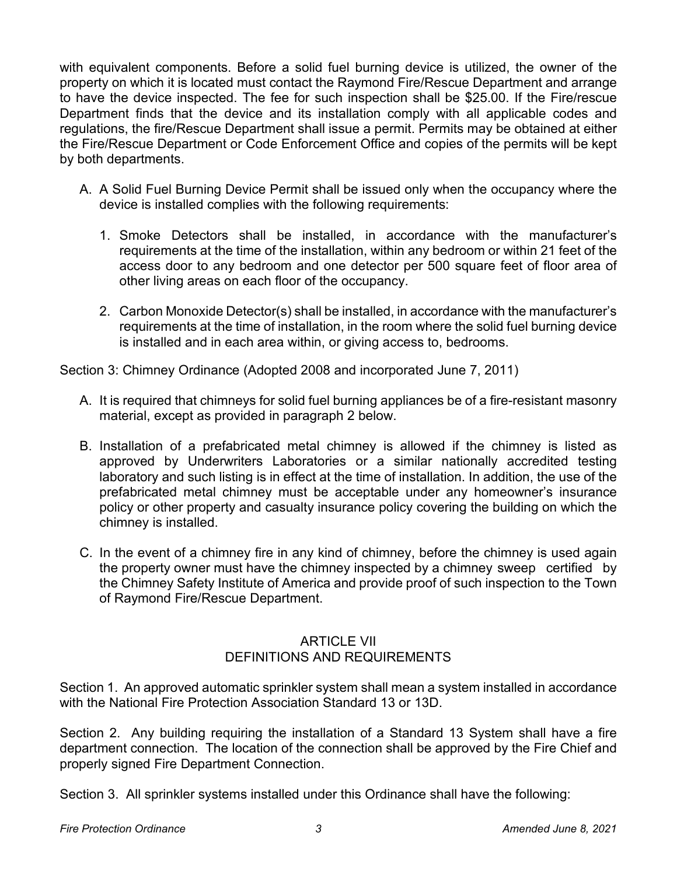with equivalent components. Before a solid fuel burning device is utilized, the owner of the property on which it is located must contact the Raymond Fire/Rescue Department and arrange to have the device inspected. The fee for such inspection shall be \$25.00. If the Fire/rescue Department finds that the device and its installation comply with all applicable codes and regulations, the fire/Rescue Department shall issue a permit. Permits may be obtained at either the Fire/Rescue Department or Code Enforcement Office and copies of the permits will be kept by both departments.

- A. A Solid Fuel Burning Device Permit shall be issued only when the occupancy where the device is installed complies with the following requirements:
	- 1. Smoke Detectors shall be installed, in accordance with the manufacturer's requirements at the time of the installation, within any bedroom or within 21 feet of the access door to any bedroom and one detector per 500 square feet of floor area of other living areas on each floor of the occupancy.
	- 2. Carbon Monoxide Detector(s) shall be installed, in accordance with the manufacturer's requirements at the time of installation, in the room where the solid fuel burning device is installed and in each area within, or giving access to, bedrooms.

Section 3: Chimney Ordinance (Adopted 2008 and incorporated June 7, 2011)

- A. It is required that chimneys for solid fuel burning appliances be of a fire-resistant masonry material, except as provided in paragraph 2 below.
- B. Installation of a prefabricated metal chimney is allowed if the chimney is listed as approved by Underwriters Laboratories or a similar nationally accredited testing laboratory and such listing is in effect at the time of installation. In addition, the use of the prefabricated metal chimney must be acceptable under any homeowner's insurance policy or other property and casualty insurance policy covering the building on which the chimney is installed.
- C. In the event of a chimney fire in any kind of chimney, before the chimney is used again the property owner must have the chimney inspected by a chimney sweep certified by the Chimney Safety Institute of America and provide proof of such inspection to the Town of Raymond Fire/Rescue Department.

### ARTICLE VII DEFINITIONS AND REQUIREMENTS

Section 1. An approved automatic sprinkler system shall mean a system installed in accordance with the National Fire Protection Association Standard 13 or 13D.

Section 2. Any building requiring the installation of a Standard 13 System shall have a fire department connection. The location of the connection shall be approved by the Fire Chief and properly signed Fire Department Connection.

Section 3. All sprinkler systems installed under this Ordinance shall have the following: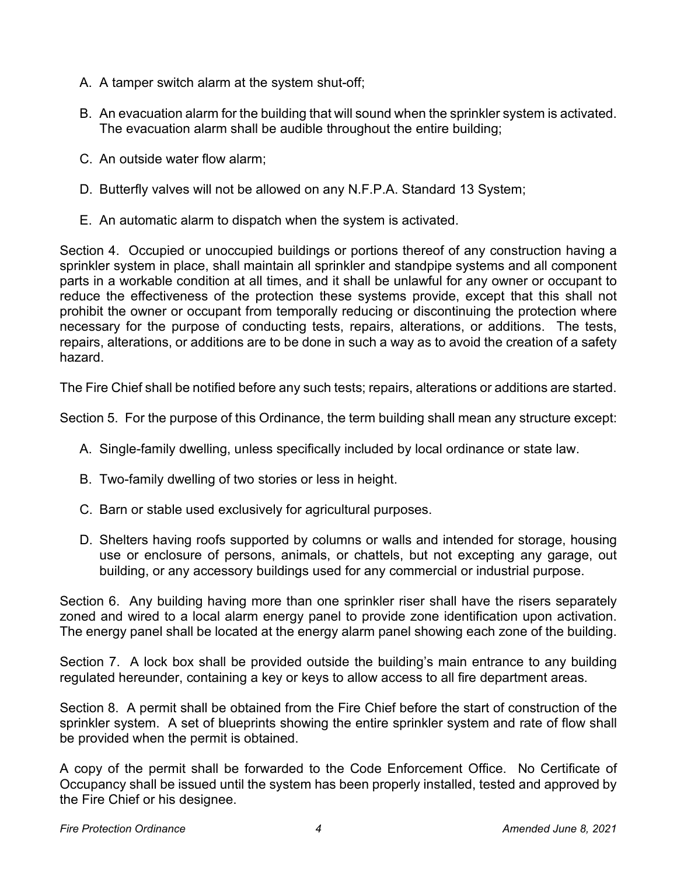- A. A tamper switch alarm at the system shut-off;
- B. An evacuation alarm for the building that will sound when the sprinkler system is activated. The evacuation alarm shall be audible throughout the entire building;
- C. An outside water flow alarm;
- D. Butterfly valves will not be allowed on any N.F.P.A. Standard 13 System;
- E. An automatic alarm to dispatch when the system is activated.

Section 4. Occupied or unoccupied buildings or portions thereof of any construction having a sprinkler system in place, shall maintain all sprinkler and standpipe systems and all component parts in a workable condition at all times, and it shall be unlawful for any owner or occupant to reduce the effectiveness of the protection these systems provide, except that this shall not prohibit the owner or occupant from temporally reducing or discontinuing the protection where necessary for the purpose of conducting tests, repairs, alterations, or additions. The tests, repairs, alterations, or additions are to be done in such a way as to avoid the creation of a safety hazard.

The Fire Chief shall be notified before any such tests; repairs, alterations or additions are started.

Section 5. For the purpose of this Ordinance, the term building shall mean any structure except:

- A. Single-family dwelling, unless specifically included by local ordinance or state law.
- B. Two-family dwelling of two stories or less in height.
- C. Barn or stable used exclusively for agricultural purposes.
- D. Shelters having roofs supported by columns or walls and intended for storage, housing use or enclosure of persons, animals, or chattels, but not excepting any garage, out building, or any accessory buildings used for any commercial or industrial purpose.

Section 6. Any building having more than one sprinkler riser shall have the risers separately zoned and wired to a local alarm energy panel to provide zone identification upon activation. The energy panel shall be located at the energy alarm panel showing each zone of the building.

Section 7. A lock box shall be provided outside the building's main entrance to any building regulated hereunder, containing a key or keys to allow access to all fire department areas.

Section 8. A permit shall be obtained from the Fire Chief before the start of construction of the sprinkler system. A set of blueprints showing the entire sprinkler system and rate of flow shall be provided when the permit is obtained.

A copy of the permit shall be forwarded to the Code Enforcement Office. No Certificate of Occupancy shall be issued until the system has been properly installed, tested and approved by the Fire Chief or his designee.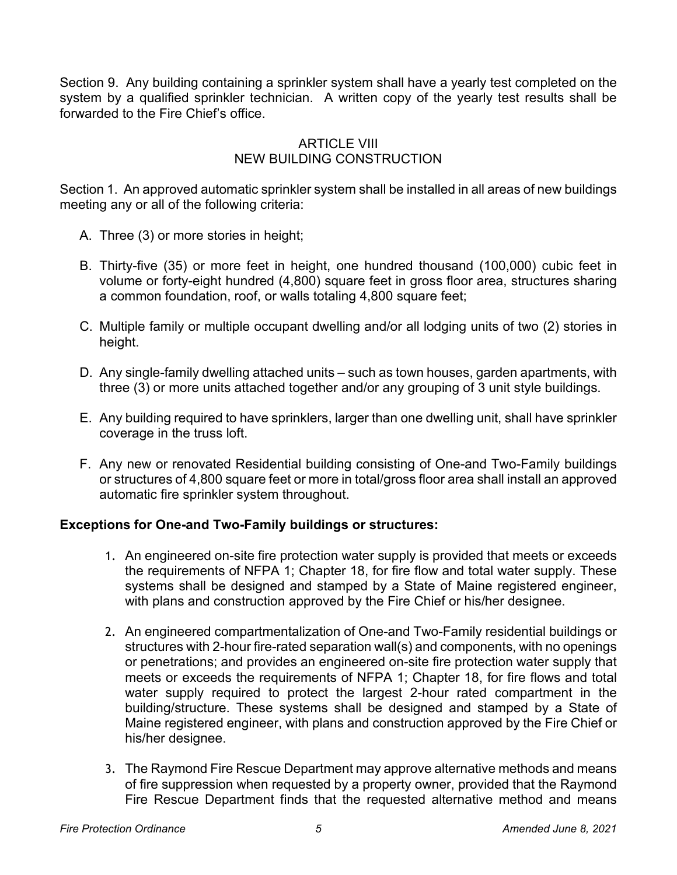Section 9. Any building containing a sprinkler system shall have a yearly test completed on the system by a qualified sprinkler technician. A written copy of the yearly test results shall be forwarded to the Fire Chief's office.

### ARTICLE VIII NEW BUILDING CONSTRUCTION

Section 1. An approved automatic sprinkler system shall be installed in all areas of new buildings meeting any or all of the following criteria:

- A. Three (3) or more stories in height;
- B. Thirty-five (35) or more feet in height, one hundred thousand (100,000) cubic feet in volume or forty-eight hundred (4,800) square feet in gross floor area, structures sharing a common foundation, roof, or walls totaling 4,800 square feet;
- C. Multiple family or multiple occupant dwelling and/or all lodging units of two (2) stories in height.
- D. Any single-family dwelling attached units such as town houses, garden apartments, with three (3) or more units attached together and/or any grouping of 3 unit style buildings.
- E. Any building required to have sprinklers, larger than one dwelling unit, shall have sprinkler coverage in the truss loft.
- F. Any new or renovated Residential building consisting of One-and Two-Family buildings or structures of 4,800 square feet or more in total/gross floor area shall install an approved automatic fire sprinkler system throughout.

#### **Exceptions for One-and Two-Family buildings or structures:**

- 1. An engineered on-site fire protection water supply is provided that meets or exceeds the requirements of NFPA 1; Chapter 18, for fire flow and total water supply. These systems shall be designed and stamped by a State of Maine registered engineer, with plans and construction approved by the Fire Chief or his/her designee.
- 2. An engineered compartmentalization of One-and Two-Family residential buildings or structures with 2-hour fire-rated separation wall(s) and components, with no openings or penetrations; and provides an engineered on-site fire protection water supply that meets or exceeds the requirements of NFPA 1; Chapter 18, for fire flows and total water supply required to protect the largest 2-hour rated compartment in the building/structure. These systems shall be designed and stamped by a State of Maine registered engineer, with plans and construction approved by the Fire Chief or his/her designee.
- 3. The Raymond Fire Rescue Department may approve alternative methods and means of fire suppression when requested by a property owner, provided that the Raymond Fire Rescue Department finds that the requested alternative method and means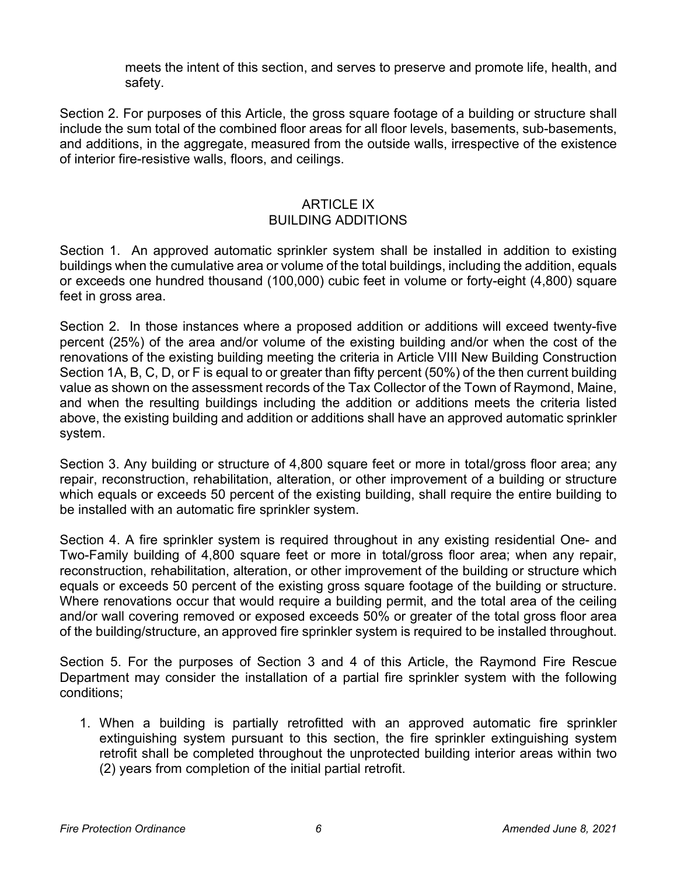meets the intent of this section, and serves to preserve and promote life, health, and safety.

Section 2. For purposes of this Article, the gross square footage of a building or structure shall include the sum total of the combined floor areas for all floor levels, basements, sub-basements, and additions, in the aggregate, measured from the outside walls, irrespective of the existence of interior fire-resistive walls, floors, and ceilings.

#### ARTICLE IX BUILDING ADDITIONS

Section 1. An approved automatic sprinkler system shall be installed in addition to existing buildings when the cumulative area or volume of the total buildings, including the addition, equals or exceeds one hundred thousand (100,000) cubic feet in volume or forty-eight (4,800) square feet in gross area.

Section 2. In those instances where a proposed addition or additions will exceed twenty-five percent (25%) of the area and/or volume of the existing building and/or when the cost of the renovations of the existing building meeting the criteria in Article VIII New Building Construction Section 1A, B, C, D, or F is equal to or greater than fifty percent (50%) of the then current building value as shown on the assessment records of the Tax Collector of the Town of Raymond, Maine, and when the resulting buildings including the addition or additions meets the criteria listed above, the existing building and addition or additions shall have an approved automatic sprinkler system.

Section 3. Any building or structure of 4,800 square feet or more in total/gross floor area; any repair, reconstruction, rehabilitation, alteration, or other improvement of a building or structure which equals or exceeds 50 percent of the existing building, shall require the entire building to be installed with an automatic fire sprinkler system.

Section 4. A fire sprinkler system is required throughout in any existing residential One- and Two-Family building of 4,800 square feet or more in total/gross floor area; when any repair, reconstruction, rehabilitation, alteration, or other improvement of the building or structure which equals or exceeds 50 percent of the existing gross square footage of the building or structure. Where renovations occur that would require a building permit, and the total area of the ceiling and/or wall covering removed or exposed exceeds 50% or greater of the total gross floor area of the building/structure, an approved fire sprinkler system is required to be installed throughout.

Section 5. For the purposes of Section 3 and 4 of this Article, the Raymond Fire Rescue Department may consider the installation of a partial fire sprinkler system with the following conditions;

1. When a building is partially retrofitted with an approved automatic fire sprinkler extinguishing system pursuant to this section, the fire sprinkler extinguishing system retrofit shall be completed throughout the unprotected building interior areas within two (2) years from completion of the initial partial retrofit.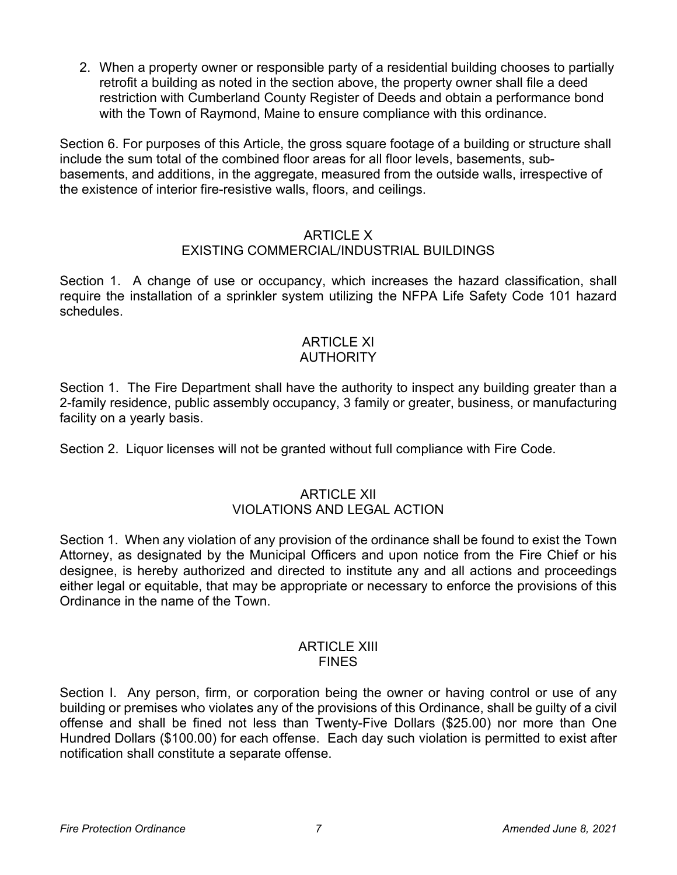2. When a property owner or responsible party of a residential building chooses to partially retrofit a building as noted in the section above, the property owner shall file a deed restriction with Cumberland County Register of Deeds and obtain a performance bond with the Town of Raymond, Maine to ensure compliance with this ordinance.

Section 6. For purposes of this Article, the gross square footage of a building or structure shall include the sum total of the combined floor areas for all floor levels, basements, subbasements, and additions, in the aggregate, measured from the outside walls, irrespective of the existence of interior fire-resistive walls, floors, and ceilings.

# ARTICLE X

## EXISTING COMMERCIAL/INDUSTRIAL BUILDINGS

Section 1. A change of use or occupancy, which increases the hazard classification, shall require the installation of a sprinkler system utilizing the NFPA Life Safety Code 101 hazard schedules.

### ARTICLE XI AUTHORITY

Section 1. The Fire Department shall have the authority to inspect any building greater than a 2-family residence, public assembly occupancy, 3 family or greater, business, or manufacturing facility on a yearly basis.

Section 2. Liquor licenses will not be granted without full compliance with Fire Code.

## ARTICLE XII VIOLATIONS AND LEGAL ACTION

Section 1. When any violation of any provision of the ordinance shall be found to exist the Town Attorney, as designated by the Municipal Officers and upon notice from the Fire Chief or his designee, is hereby authorized and directed to institute any and all actions and proceedings either legal or equitable, that may be appropriate or necessary to enforce the provisions of this Ordinance in the name of the Town.

#### ARTICLE XIII FINES

Section I. Any person, firm, or corporation being the owner or having control or use of any building or premises who violates any of the provisions of this Ordinance, shall be guilty of a civil offense and shall be fined not less than Twenty-Five Dollars (\$25.00) nor more than One Hundred Dollars (\$100.00) for each offense. Each day such violation is permitted to exist after notification shall constitute a separate offense.